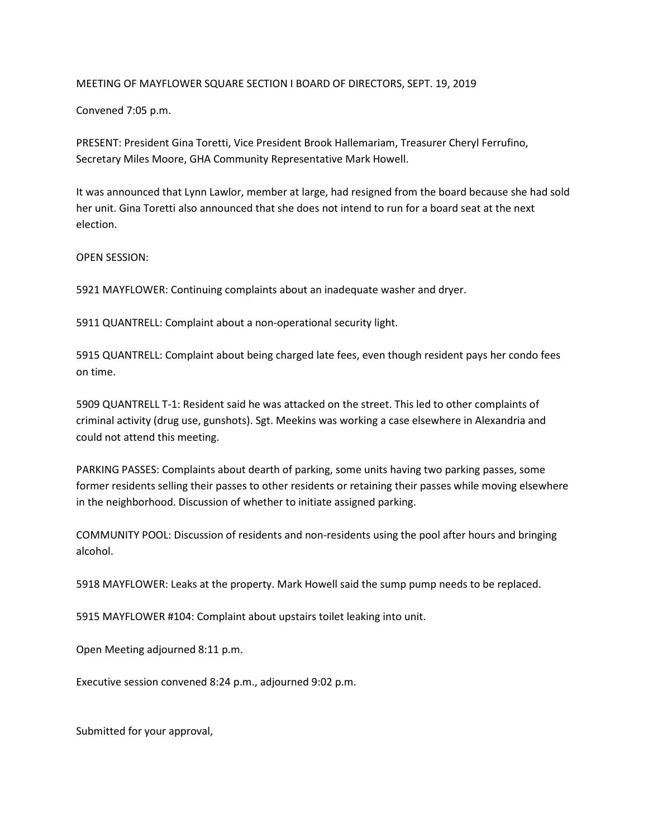## MEETING OF MAYFLOWER SQUARE SECTION I BOARD OF DIRECTORS, SEPT. 19, 2019

Convened 7:05 p.m.

PRESENT: President Gina Toretti, Vice President Brook Hallemariam, Treasurer Cheryl Ferrufino, Secretary Miles Moore, GHA Community Representative Mark Howell.

It was announced that Lynn Lawlor, member at large, had resigned from the board because she had sold her unit. Gina Toretti also announced that she does not intend to run for a board seat at the next election.

OPEN SESSION:

5921 MAYFLOWER: Continuing complaints about an inadequate washer and dryer.

5911 QUANTRELL: Complaint about a non-operational security light.

5915 QUANTRELL: Complaint about being charged late fees, even though resident pays her condo fees on time.

5909 QUANTRELL T-1: Resident said he was attacked on the street. This led to other complaints of criminal activity (drug use, gunshots). Sgt. Meekins was working a case elsewhere in Alexandria and could not attend this meeting.

PARKING PASSES: Complaints about dearth of parking, some units having two parking passes, some former residents selling their passes to other residents or retaining their passes while moving elsewhere in the neighborhood. Discussion of whether to initiate assigned parking.

COMMUNITY POOL: Discussion of residents and non-residents using the pool after hours and bringing alcohol.

5918 MAYFLOWER: Leaks at the property. Mark Howell said the sump pump needs to be replaced.

5915 MAYFLOWER #104: Complaint about upstairs toilet leaking into unit.

Open Meeting adjourned 8:11 p.m.

Executive session convened 8:24 p.m., adjourned 9:02 p.m.

Submitted for your approval,